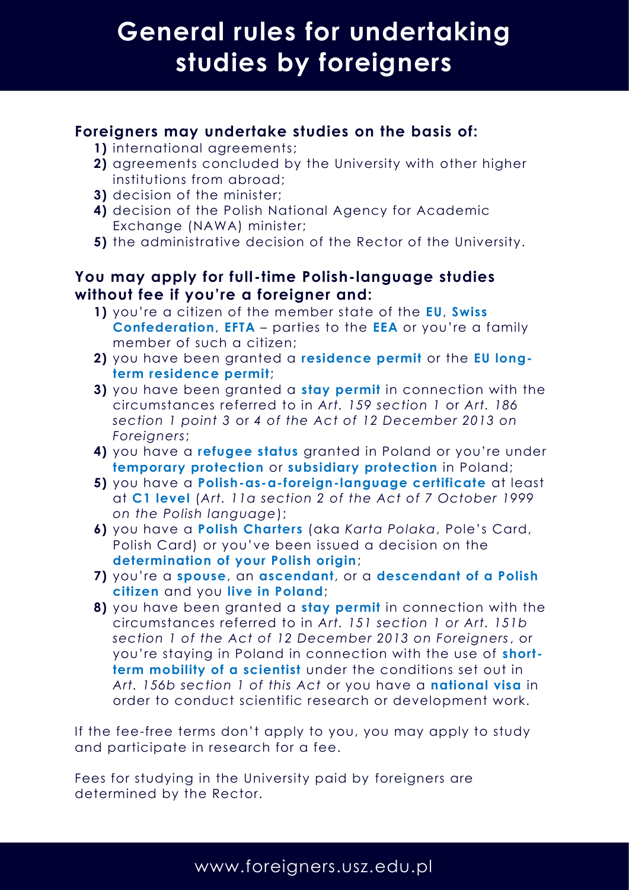## **General rules for undertaking studies by foreigners**

#### **Foreigners may undertake studies on the basis of:**

- **1)** international agreements;
- **2)** agreements concluded by the University with other higher institutions from abroad;
- **3)** decision of the minister;
- **4)** decision of the Polish National Agency for Academic Exchange (NAWA) minister;
- **5)** the administrative decision of the Rector of the University.

### **You may apply for full-time Polish-language studies without fee if you're a foreigner and:**

- **1)** you're a citizen of the member state of the **EU**, **Swiss Confederation**, **EFTA** – parties to the **EEA** or you're a family member of such a citizen;
- **2)** you have been granted a **residence permit** or the **EU longterm residence permit**;
- **3)** you have been granted a **stay permit** in connection with the circumstances referred to in *Art. 159 section 1* or *Art. 186 section 1 point 3* or *4 of the Act of 12 December 2013 on Foreigners*;
- **4)** you have a **refugee status** granted in Poland or you're under **temporary protection** or **subsidiary protection** in Poland;
- **5)** you have a **Polish-as-a-foreign-language certificate** at least at **C1 level** (*Art. 11a section 2 of the Act of 7 October 1999 on the Polish language*);
- **6)** you have a **Polish Charters** (aka *Karta Polaka*, Pole's Card, Polish Card) or you've been issued a decision on the **determination of your Polish origin**;
- **7)** you're a **spouse**, an **ascendant**, or a **descendant of a Polish citizen** and you **live in Poland**;
- **8)** you have been granted a **stay permit** in connection with the circumstances referred to in *Art. 151 section 1 or Art. 151b section 1 of the Act of 12 December 2013 on Foreigners*, or you're staying in Poland in connection with the use of **shortterm mobility of a scientist** under the conditions set out in *Art. 156b section 1 of this Act* or you have a **national visa** in order to conduct scientific research or development work.

If the fee-free terms don't apply to you, you may apply to study and participate in research for a fee.

Fees for studying in the University paid by foreigners are determined by the Rector.

### www.foreigners.usz.edu.pl